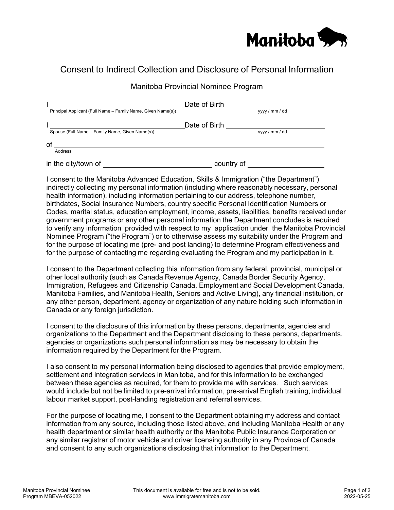

## Consent to Indirect Collection and Disclosure of Personal Information

## Manitoba Provincial Nominee Program

|                                                              | Date of Birth |                |
|--------------------------------------------------------------|---------------|----------------|
| Principal Applicant (Full Name – Family Name, Given Name(s)) |               | yyyy / mm / dd |
|                                                              | Date of Birth |                |
| Spouse (Full Name – Family Name, Given Name(s))              |               | yyyy / mm / dd |
| οf                                                           |               |                |
| Address                                                      |               |                |
| in the city/town of                                          | country of    |                |

I consent to the Manitoba Advanced Education, Skills & Immigration ("the Department") indirectly collecting my personal information (including where reasonably necessary, personal health information), including information pertaining to our address, telephone number, birthdates, Social Insurance Numbers, country specific Personal Identification Numbers or Codes, marital status, education employment, income, assets, liabilities, benefits received under government programs or any other personal information the Department concludes is required to verify any information provided with respect to my application under the Manitoba Provincial Nominee Program ("the Program") or to otherwise assess my suitability under the Program and for the purpose of locating me (pre- and post landing) to determine Program effectiveness and for the purpose of contacting me regarding evaluating the Program and my participation in it.

I consent to the Department collecting this information from any federal, provincial, municipal or other local authority (such as Canada Revenue Agency, Canada Border Security Agency, Immigration, Refugees and Citizenship Canada, Employment and Social Development Canada, Manitoba Families, and Manitoba Health, Seniors and Active Living), any financial institution, or any other person, department, agency or organization of any nature holding such information in Canada or any foreign jurisdiction.

I consent to the disclosure of this information by these persons, departments, agencies and organizations to the Department and the Department disclosing to these persons, departments, agencies or organizations such personal information as may be necessary to obtain the information required by the Department for the Program.

I also consent to my personal information being disclosed to agencies that provide employment, settlement and integration services in Manitoba, and for this information to be exchanged between these agencies as required, for them to provide me with services. Such services would include but not be limited to pre-arrival information, pre-arrival English training, individual labour market support, post-landing registration and referral services.

For the purpose of locating me, I consent to the Department obtaining my address and contact information from any source, including those listed above, and including Manitoba Health or any health department or similar health authority or the Manitoba Public Insurance Corporation or any similar registrar of motor vehicle and driver licensing authority in any Province of Canada and consent to any such organizations disclosing that information to the Department.